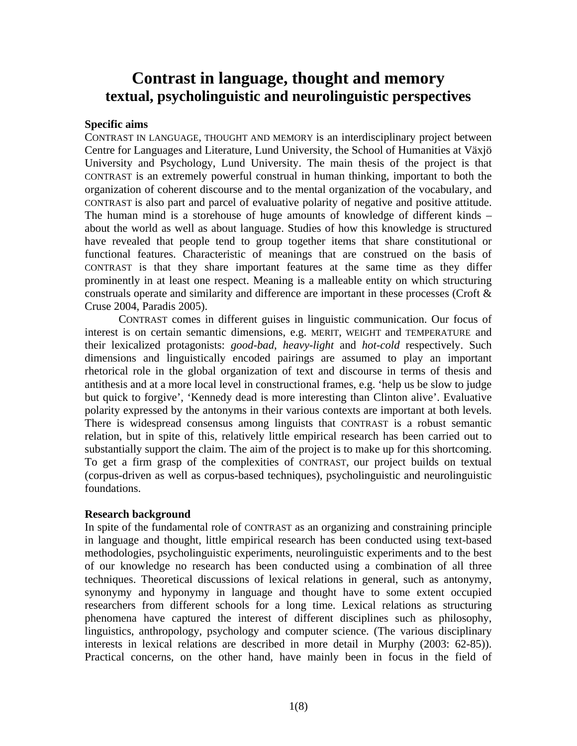# **Contrast in language, thought and memory textual, psycholinguistic and neurolinguistic perspectives**

## **Specific aims**

CONTRAST IN LANGUAGE, THOUGHT AND MEMORY is an interdisciplinary project between Centre for Languages and Literature, Lund University, the School of Humanities at Växjö University and Psychology, Lund University. The main thesis of the project is that CONTRAST is an extremely powerful construal in human thinking, important to both the organization of coherent discourse and to the mental organization of the vocabulary, and CONTRAST is also part and parcel of evaluative polarity of negative and positive attitude. The human mind is a storehouse of huge amounts of knowledge of different kinds – about the world as well as about language. Studies of how this knowledge is structured have revealed that people tend to group together items that share constitutional or functional features. Characteristic of meanings that are construed on the basis of CONTRAST is that they share important features at the same time as they differ prominently in at least one respect. Meaning is a malleable entity on which structuring construals operate and similarity and difference are important in these processes (Croft & Cruse 2004, Paradis 2005).

CONTRAST comes in different guises in linguistic communication. Our focus of interest is on certain semantic dimensions, e.g. MERIT, WEIGHT and TEMPERATURE and their lexicalized protagonists: *good-bad*, *heavy-light* and *hot-cold* respectively. Such dimensions and linguistically encoded pairings are assumed to play an important rhetorical role in the global organization of text and discourse in terms of thesis and antithesis and at a more local level in constructional frames, e.g. 'help us be slow to judge but quick to forgive', 'Kennedy dead is more interesting than Clinton alive'. Evaluative polarity expressed by the antonyms in their various contexts are important at both levels. There is widespread consensus among linguists that CONTRAST is a robust semantic relation, but in spite of this, relatively little empirical research has been carried out to substantially support the claim. The aim of the project is to make up for this shortcoming. To get a firm grasp of the complexities of CONTRAST, our project builds on textual (corpus-driven as well as corpus-based techniques), psycholinguistic and neurolinguistic foundations.

## **Research background**

In spite of the fundamental role of CONTRAST as an organizing and constraining principle in language and thought, little empirical research has been conducted using text-based methodologies, psycholinguistic experiments, neurolinguistic experiments and to the best of our knowledge no research has been conducted using a combination of all three techniques. Theoretical discussions of lexical relations in general, such as antonymy, synonymy and hyponymy in language and thought have to some extent occupied researchers from different schools for a long time. Lexical relations as structuring phenomena have captured the interest of different disciplines such as philosophy, linguistics, anthropology, psychology and computer science. (The various disciplinary interests in lexical relations are described in more detail in Murphy (2003: 62-85)). Practical concerns, on the other hand, have mainly been in focus in the field of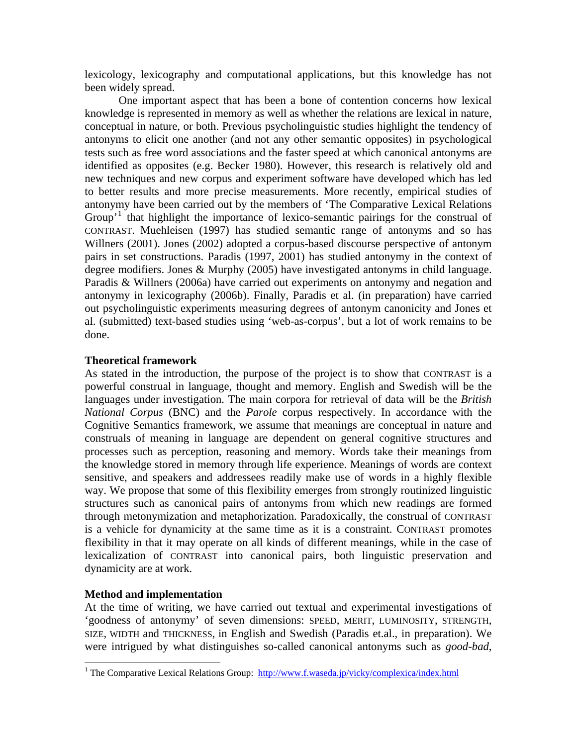lexicology, lexicography and computational applications, but this knowledge has not been widely spread.

One important aspect that has been a bone of contention concerns how lexical knowledge is represented in memory as well as whether the relations are lexical in nature, conceptual in nature, or both. Previous psycholinguistic studies highlight the tendency of antonyms to elicit one another (and not any other semantic opposites) in psychological tests such as free word associations and the faster speed at which canonical antonyms are identified as opposites (e.g. Becker 1980). However, this research is relatively old and new techniques and new corpus and experiment software have developed which has led to better results and more precise measurements. More recently, empirical studies of antonymy have been carried out by the members of 'The Comparative Lexical Relations Group<sup> $1$ </sup> that highlight the importance of lexico-semantic pairings for the construal of CONTRAST. Muehleisen (1997) has studied semantic range of antonyms and so has Willners (2001). Jones (2002) adopted a corpus-based discourse perspective of antonym pairs in set constructions. Paradis (1997, 2001) has studied antonymy in the context of degree modifiers. Jones & Murphy (2005) have investigated antonyms in child language. Paradis & Willners (2006a) have carried out experiments on antonymy and negation and antonymy in lexicography (2006b). Finally, Paradis et al. (in preparation) have carried out psycholinguistic experiments measuring degrees of antonym canonicity and Jones et al. (submitted) text-based studies using 'web-as-corpus', but a lot of work remains to be done.

#### **Theoretical framework**

As stated in the introduction, the purpose of the project is to show that CONTRAST is a powerful construal in language, thought and memory. English and Swedish will be the languages under investigation. The main corpora for retrieval of data will be the *British National Corpus* (BNC) and the *Parole* corpus respectively. In accordance with the Cognitive Semantics framework, we assume that meanings are conceptual in nature and construals of meaning in language are dependent on general cognitive structures and processes such as perception, reasoning and memory. Words take their meanings from the knowledge stored in memory through life experience. Meanings of words are context sensitive, and speakers and addressees readily make use of words in a highly flexible way. We propose that some of this flexibility emerges from strongly routinized linguistic structures such as canonical pairs of antonyms from which new readings are formed through metonymization and metaphorization. Paradoxically, the construal of CONTRAST is a vehicle for dynamicity at the same time as it is a constraint. CONTRAST promotes flexibility in that it may operate on all kinds of different meanings, while in the case of lexicalization of CONTRAST into canonical pairs, both linguistic preservation and dynamicity are at work.

## **Method and implementation**

 $\overline{a}$ 

At the time of writing, we have carried out textual and experimental investigations of 'goodness of antonymy' of seven dimensions: SPEED, MERIT, LUMINOSITY, STRENGTH, SIZE, WIDTH and THICKNESS, in English and Swedish (Paradis et.al., in preparation). We were intrigued by what distinguishes so-called canonical antonyms such as *good-bad*,

<span id="page-1-0"></span><sup>&</sup>lt;sup>1</sup> The Comparative Lexical Relations Group: <http://www.f.waseda.jp/vicky/complexica/index.html>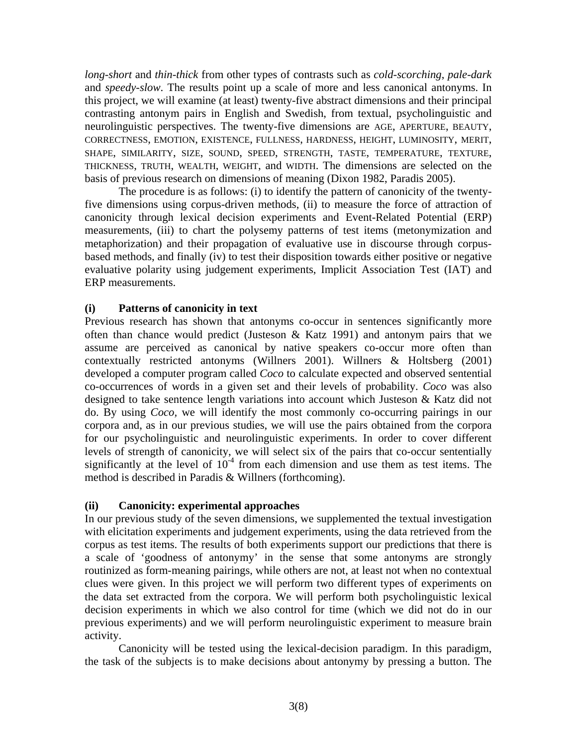*long-short* and *thin-thick* from other types of contrasts such as *cold-scorching*, *pale-dark*  and *speedy-slow*. The results point up a scale of more and less canonical antonyms. In this project, we will examine (at least) twenty-five abstract dimensions and their principal contrasting antonym pairs in English and Swedish, from textual, psycholinguistic and neurolinguistic perspectives. The twenty-five dimensions are AGE, APERTURE, BEAUTY, CORRECTNESS, EMOTION, EXISTENCE, FULLNESS, HARDNESS, HEIGHT, LUMINOSITY, MERIT, SHAPE, SIMILARITY, SIZE, SOUND, SPEED, STRENGTH, TASTE, TEMPERATURE, TEXTURE, THICKNESS, TRUTH, WEALTH, WEIGHT, and WIDTH. The dimensions are selected on the basis of previous research on dimensions of meaning (Dixon 1982, Paradis 2005).

The procedure is as follows: (i) to identify the pattern of canonicity of the twentyfive dimensions using corpus-driven methods, (ii) to measure the force of attraction of canonicity through lexical decision experiments and Event-Related Potential (ERP) measurements, (iii) to chart the polysemy patterns of test items (metonymization and metaphorization) and their propagation of evaluative use in discourse through corpusbased methods, and finally (iv) to test their disposition towards either positive or negative evaluative polarity using judgement experiments, Implicit Association Test (IAT) and ERP measurements.

## **(i) Patterns of canonicity in text**

Previous research has shown that antonyms co-occur in sentences significantly more often than chance would predict (Justeson & Katz 1991) and antonym pairs that we assume are perceived as canonical by native speakers co-occur more often than contextually restricted antonyms (Willners 2001). Willners & Holtsberg (2001) developed a computer program called *Coco* to calculate expected and observed sentential co-occurrences of words in a given set and their levels of probability. *Coco* was also designed to take sentence length variations into account which Justeson & Katz did not do. By using *Coco,* we will identify the most commonly co-occurring pairings in our corpora and, as in our previous studies, we will use the pairs obtained from the corpora for our psycholinguistic and neurolinguistic experiments. In order to cover different levels of strength of canonicity, we will select six of the pairs that co-occur sententially significantly at the level of  $10^{-4}$  from each dimension and use them as test items. The method is described in Paradis & Willners (forthcoming).

## **(ii) Canonicity: experimental approaches**

In our previous study of the seven dimensions, we supplemented the textual investigation with elicitation experiments and judgement experiments, using the data retrieved from the corpus as test items. The results of both experiments support our predictions that there is a scale of 'goodness of antonymy' in the sense that some antonyms are strongly routinized as form-meaning pairings, while others are not, at least not when no contextual clues were given. In this project we will perform two different types of experiments on the data set extracted from the corpora. We will perform both psycholinguistic lexical decision experiments in which we also control for time (which we did not do in our previous experiments) and we will perform neurolinguistic experiment to measure brain activity.

 Canonicity will be tested using the lexical-decision paradigm. In this paradigm, the task of the subjects is to make decisions about antonymy by pressing a button. The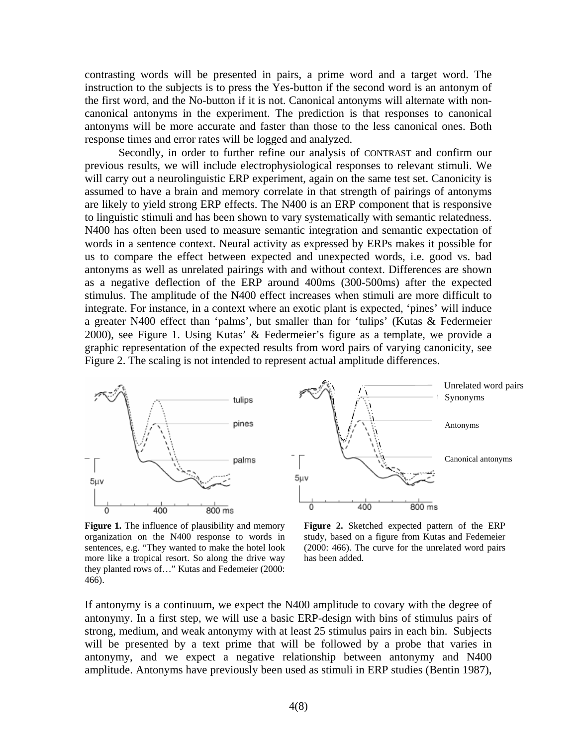contrasting words will be presented in pairs, a prime word and a target word. The instruction to the subjects is to press the Yes-button if the second word is an antonym of the first word, and the No-button if it is not. Canonical antonyms will alternate with noncanonical antonyms in the experiment. The prediction is that responses to canonical antonyms will be more accurate and faster than those to the less canonical ones. Both response times and error rates will be logged and analyzed.

Secondly, in order to further refine our analysis of CONTRAST and confirm our previous results, we will include electrophysiological responses to relevant stimuli. We will carry out a neurolinguistic ERP experiment, again on the same test set. Canonicity is assumed to have a brain and memory correlate in that strength of pairings of antonyms are likely to yield strong ERP effects. The N400 is an ERP component that is responsive to linguistic stimuli and has been shown to vary systematically with semantic relatedness. N400 has often been used to measure semantic integration and semantic expectation of words in a sentence context. Neural activity as expressed by ERPs makes it possible for us to compare the effect between expected and unexpected words, i.e. good vs. bad antonyms as well as unrelated pairings with and without context. Differences are shown as a negative deflection of the ERP around 400ms (300-500ms) after the expected stimulus. The amplitude of the N400 effect increases when stimuli are more difficult to integrate. For instance, in a context where an exotic plant is expected, 'pines' will induce a greater N400 effect than 'palms', but smaller than for 'tulips' (Kutas & Federmeier 2000), see Figure 1. Using Kutas' & Federmeier's figure as a template, we provide a graphic representation of the expected results from word pairs of varying canonicity, see Figure 2. The scaling is not intended to represent actual amplitude differences.



**Figure 1.** The influence of plausibility and memory organization on the N400 response to words in sentences, e.g. "They wanted to make the hotel look more like a tropical resort. So along the drive way they planted rows of…" Kutas and Fedemeier (2000: 466).

**Figure 2.** Sketched expected pattern of the ERP study, based on a figure from Kutas and Fedemeier (2000: 466). The curve for the unrelated word pairs has been added.

If antonymy is a continuum, we expect the N400 amplitude to covary with the degree of antonymy. In a first step, we will use a basic ERP-design with bins of stimulus pairs of strong, medium, and weak antonymy with at least 25 stimulus pairs in each bin. Subjects will be presented by a text prime that will be followed by a probe that varies in antonymy, and we expect a negative relationship between antonymy and N400 amplitude. Antonyms have previously been used as stimuli in ERP studies (Bentin 1987),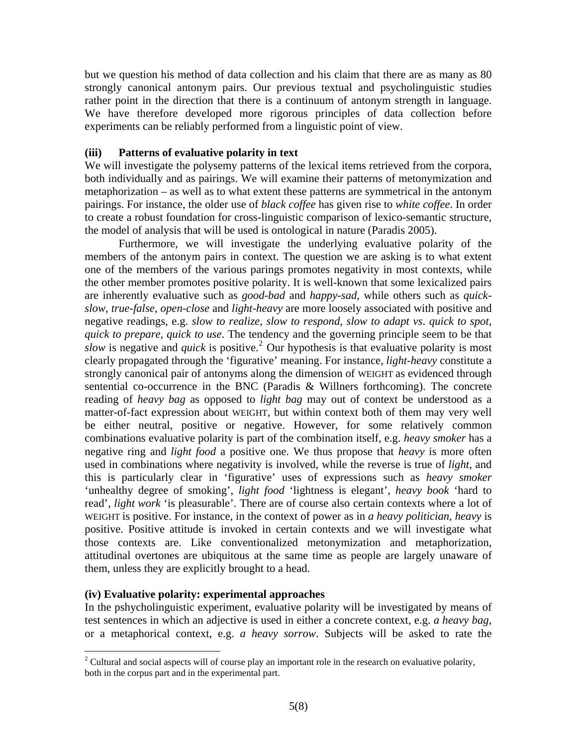but we question his method of data collection and his claim that there are as many as 80 strongly canonical antonym pairs. Our previous textual and psycholinguistic studies rather point in the direction that there is a continuum of antonym strength in language. We have therefore developed more rigorous principles of data collection before experiments can be reliably performed from a linguistic point of view.

### **(iii) Patterns of evaluative polarity in text**

We will investigate the polysemy patterns of the lexical items retrieved from the corpora, both individually and as pairings. We will examine their patterns of metonymization and metaphorization – as well as to what extent these patterns are symmetrical in the antonym pairings. For instance, the older use of *black coffee* has given rise to *white coffee*. In order to create a robust foundation for cross-linguistic comparison of lexico-semantic structure, the model of analysis that will be used is ontological in nature (Paradis 2005).

 Furthermore, we will investigate the underlying evaluative polarity of the members of the antonym pairs in context. The question we are asking is to what extent one of the members of the various parings promotes negativity in most contexts, while the other member promotes positive polarity. It is well-known that some lexicalized pairs are inherently evaluative such as *good-bad* and *happy-sad,* while others such as *quickslow*, *true-false*, *open-close* and *light-heavy* are more loosely associated with positive and negative readings, e.g. *slow to realize*, *slow to respond*, *slow to adapt vs*. *quick to spot*, *quick to prepare*, *quick to use*. The tendency and the governing principle seem to be that  $slow$  is negative and *quick* is positive.<sup>[2](#page-4-0)</sup> Our hypothesis is that evaluative polarity is most clearly propagated through the 'figurative' meaning. For instance, *light*-*heavy* constitute a strongly canonical pair of antonyms along the dimension of WEIGHT as evidenced through sentential co-occurrence in the BNC (Paradis & Willners forthcoming). The concrete reading of *heavy bag* as opposed to *light bag* may out of context be understood as a matter-of-fact expression about WEIGHT, but within context both of them may very well be either neutral, positive or negative. However, for some relatively common combinations evaluative polarity is part of the combination itself, e.g. *heavy smoker* has a negative ring and *light food* a positive one. We thus propose that *heavy* is more often used in combinations where negativity is involved, while the reverse is true of *light*, and this is particularly clear in 'figurative' uses of expressions such as *heavy smoker* 'unhealthy degree of smoking', *light food* 'lightness is elegant', *heavy book* 'hard to read', *light work* 'is pleasurable'. There are of course also certain contexts where a lot of WEIGHT is positive. For instance, in the context of power as in *a heavy politician, heavy* is positive. Positive attitude is invoked in certain contexts and we will investigate what those contexts are. Like conventionalized metonymization and metaphorization, attitudinal overtones are ubiquitous at the same time as people are largely unaware of them, unless they are explicitly brought to a head.

#### **(iv) Evaluative polarity: experimental approaches**

 $\overline{a}$ 

In the pshycholinguistic experiment, evaluative polarity will be investigated by means of test sentences in which an adjective is used in either a concrete context, e.g. *a heavy bag*, or a metaphorical context, e.g. *a heavy sorrow*. Subjects will be asked to rate the

<span id="page-4-0"></span><sup>&</sup>lt;sup>2</sup> Cultural and social aspects will of course play an important role in the research on evaluative polarity, both in the corpus part and in the experimental part.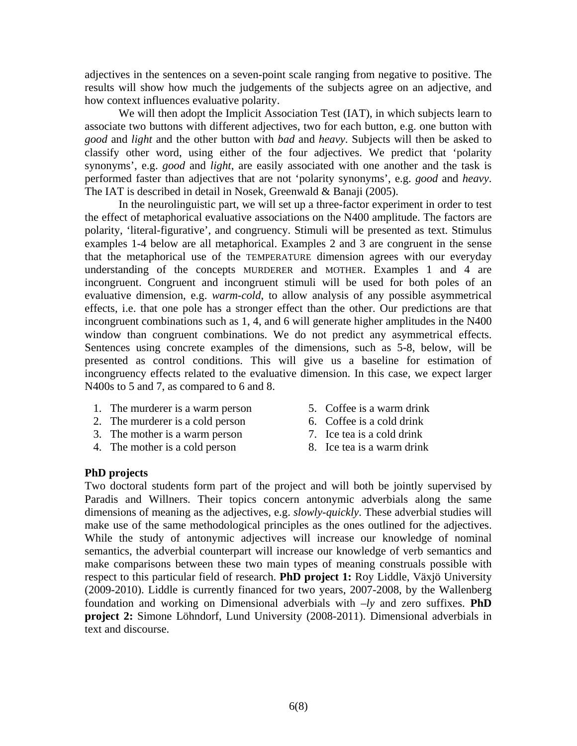adjectives in the sentences on a seven-point scale ranging from negative to positive. The results will show how much the judgements of the subjects agree on an adjective, and how context influences evaluative polarity.

We will then adopt the Implicit Association Test (IAT), in which subjects learn to associate two buttons with different adjectives, two for each button, e.g. one button with *good* and *light* and the other button with *bad* and *heavy*. Subjects will then be asked to classify other word, using either of the four adjectives. We predict that 'polarity synonyms', e.g. *good* and *light*, are easily associated with one another and the task is performed faster than adjectives that are not 'polarity synonyms', e.g. *good* and *heavy*. The IAT is described in detail in Nosek, Greenwald & Banaji (2005).

In the neurolinguistic part, we will set up a three-factor experiment in order to test the effect of metaphorical evaluative associations on the N400 amplitude. The factors are polarity, 'literal-figurative', and congruency. Stimuli will be presented as text. Stimulus examples 1-4 below are all metaphorical. Examples 2 and 3 are congruent in the sense that the metaphorical use of the TEMPERATURE dimension agrees with our everyday understanding of the concepts MURDERER and MOTHER. Examples 1 and 4 are incongruent. Congruent and incongruent stimuli will be used for both poles of an evaluative dimension, e.g. *warm*-*cold*, to allow analysis of any possible asymmetrical effects, i.e. that one pole has a stronger effect than the other. Our predictions are that incongruent combinations such as 1, 4, and 6 will generate higher amplitudes in the N400 window than congruent combinations. We do not predict any asymmetrical effects. Sentences using concrete examples of the dimensions, such as 5-8, below, will be presented as control conditions. This will give us a baseline for estimation of incongruency effects related to the evaluative dimension. In this case, we expect larger N400s to 5 and 7, as compared to 6 and 8.

- 1. The murderer is a warm person
- 2. The murderer is a cold person
- 3. The mother is a warm person
- 4. The mother is a cold person
- 5. Coffee is a warm drink
- 6. Coffee is a cold drink
- 7. Ice tea is a cold drink
- 8. Ice tea is a warm drink

## **PhD projects**

Two doctoral students form part of the project and will both be jointly supervised by Paradis and Willners. Their topics concern antonymic adverbials along the same dimensions of meaning as the adjectives, e.g. *slowly-quickly*. These adverbial studies will make use of the same methodological principles as the ones outlined for the adjectives. While the study of antonymic adjectives will increase our knowledge of nominal semantics, the adverbial counterpart will increase our knowledge of verb semantics and make comparisons between these two main types of meaning construals possible with respect to this particular field of research. **PhD project 1:** Roy Liddle, Växjö University (2009-2010). Liddle is currently financed for two years, 2007-2008, by the Wallenberg foundation and working on Dimensional adverbials with –*ly* and zero suffixes. **PhD project 2:** Simone Löhndorf, Lund University (2008-2011). Dimensional adverbials in text and discourse.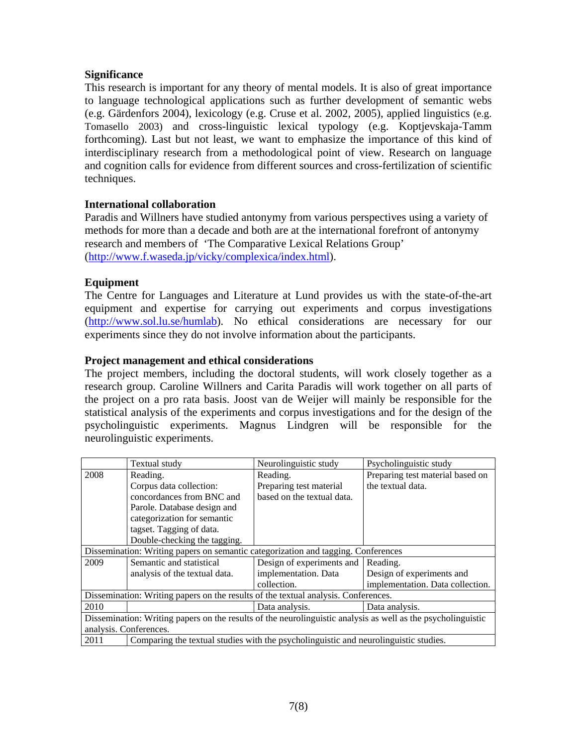## **Significance**

This research is important for any theory of mental models. It is also of great importance to language technological applications such as further development of semantic webs (e.g. Gärdenfors 2004), lexicology (e.g. Cruse et al. 2002, 2005), applied linguistics (e.g. Tomasello 2003) and cross-linguistic lexical typology (e.g. Koptjevskaja-Tamm forthcoming). Last but not least, we want to emphasize the importance of this kind of interdisciplinary research from a methodological point of view. Research on language and cognition calls for evidence from different sources and cross-fertilization of scientific techniques.

## **International collaboration**

Paradis and Willners have studied antonymy from various perspectives using a variety of methods for more than a decade and both are at the international forefront of antonymy research and members of 'The Comparative Lexical Relations Group' ([http://www.f.waseda.jp/vicky/complexica/index.html\)](http://www.f.waseda.jp/vicky/complexica/index.html).

## **Equipment**

The Centre for Languages and Literature at Lund provides us with the state-of-the-art equipment and expertise for carrying out experiments and corpus investigations (<http://www.sol.lu.se/humlab>). No ethical considerations are necessary for our experiments since they do not involve information about the participants.

## **Project management and ethical considerations**

The project members, including the doctoral students, will work closely together as a research group. Caroline Willners and Carita Paradis will work together on all parts of the project on a pro rata basis. Joost van de Weijer will mainly be responsible for the statistical analysis of the experiments and corpus investigations and for the design of the psycholinguistic experiments. Magnus Lindgren will be responsible for the neurolinguistic experiments.

|                                                                                                              | Textual study                                                                        | Neurolinguistic study      | Psycholinguistic study           |
|--------------------------------------------------------------------------------------------------------------|--------------------------------------------------------------------------------------|----------------------------|----------------------------------|
| 2008                                                                                                         | Reading.                                                                             | Reading.                   | Preparing test material based on |
|                                                                                                              | Corpus data collection:                                                              | Preparing test material    | the textual data.                |
|                                                                                                              | concordances from BNC and                                                            | based on the textual data. |                                  |
|                                                                                                              | Parole. Database design and                                                          |                            |                                  |
|                                                                                                              | categorization for semantic                                                          |                            |                                  |
|                                                                                                              | tagset. Tagging of data.                                                             |                            |                                  |
|                                                                                                              | Double-checking the tagging.                                                         |                            |                                  |
| Dissemination: Writing papers on semantic categorization and tagging. Conferences                            |                                                                                      |                            |                                  |
| 2009                                                                                                         | Semantic and statistical                                                             | Design of experiments and  | Reading.                         |
|                                                                                                              | analysis of the textual data.                                                        | implementation. Data       | Design of experiments and        |
|                                                                                                              |                                                                                      | collection.                | implementation. Data collection. |
| Dissemination: Writing papers on the results of the textual analysis. Conferences.                           |                                                                                      |                            |                                  |
| 2010                                                                                                         |                                                                                      | Data analysis.             | Data analysis.                   |
| Dissemination: Writing papers on the results of the neurolinguistic analysis as well as the psycholinguistic |                                                                                      |                            |                                  |
| analysis. Conferences.                                                                                       |                                                                                      |                            |                                  |
| 2011                                                                                                         | Comparing the textual studies with the psycholinguistic and neurolinguistic studies. |                            |                                  |